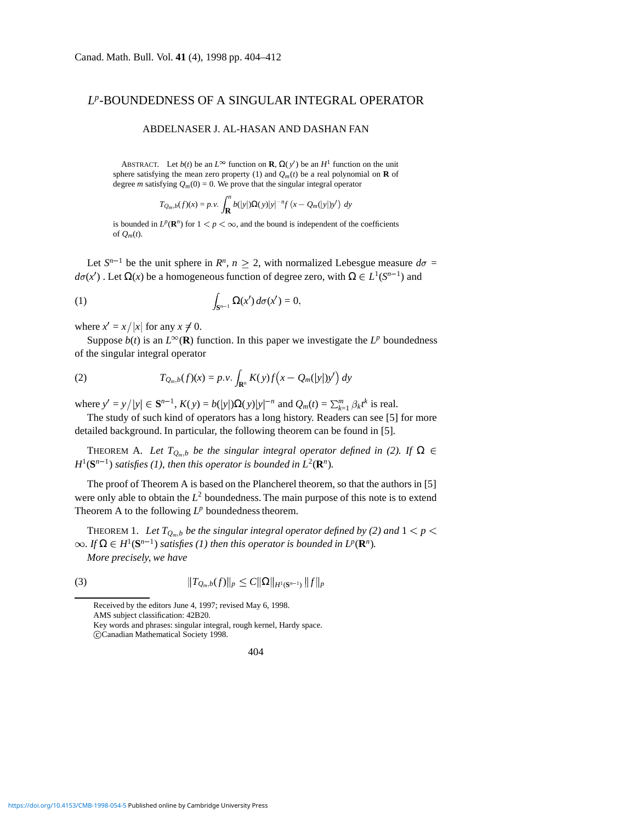## *Lp*-BOUNDEDNESS OF A SINGULAR INTEGRAL OPERATOR

## ABDELNASER J. AL-HASAN AND DASHAN FAN

ABSTRACT. Let *b*(*t*) be an *L*<sup>∞</sup> function on **R**,  $\Omega(y')$  be an *H*<sup>1</sup> function on the unit sphere satisfying the mean zero property (1) and  $Q_m(t)$  be a real polynomial on **R** of degree *m* satisfying  $Q_m(0) = 0$ . We prove that the singular integral operator

$$
T_{Q_m,b}(f)(x) = p.v. \int_{\mathbf{R}}^n b(|y|)\Omega(y)|y|^{-n}f(x - Q_m(|y|)y') dy
$$

is bounded in  $L^p(\mathbf{R}^n)$  for  $1 < p < \infty$ , and the bound is independent of the coefficients of  $Q_m(t)$ .

Let  $S^{n-1}$  be the unit sphere in  $R^n$ ,  $n \geq 2$ , with normalized Lebesgue measure  $d\sigma =$  $d\sigma(x')$  . Let  $\Omega(x)$  be a homogeneous function of degree zero, with  $\Omega \in L^1(S^{n-1})$  and

(1) 
$$
\int_{\mathbf{S}^{n-1}} \Omega(x') d\sigma(x') = 0,
$$

where  $x' = x / |x|$  for any  $x \neq 0$ .

Suppose  $b(t)$  is an  $L^{\infty}(\mathbf{R})$  function. In this paper we investigate the  $L^p$  boundedness of the singular integral operator

(2) 
$$
T_{Q_m,b}(f)(x) = p.v. \int_{\mathbf{R}^n} K(y)f\left(x - Q_m(|y|)y'\right) dy
$$

*where y'* = *y*/ $|y|$  ∈ **S**<sup>*n*-1</sup>, *K*(*y*) = *b*(|*y*|)Ω(*y*)|*y*|<sup>-*n*</sup> and *Q<sub><i>m*</sub>(*t*) =  $\sum_{k=1}^{m} \beta_k t^k$  is real.

The study of such kind of operators has a long history. Readers can see [5] for more detailed background. In particular, the following theorem can be found in [5].

THEOREM A. Let  $T_{Q_m,b}$  be the singular integral operator defined in (2). If  $\Omega \in$  $H^1(\mathbf{S}^{n-1})$  *satisfies* (1), then this operator is bounded in  $L^2(\mathbf{R}^n)$ .

The proof of Theorem A is based on the Plancherel theorem, so that the authors in [5] were only able to obtain the  $L^2$  boundedness. The main purpose of this note is to extend Theorem A to the following  $L^p$  boundedness theorem.

THEOREM 1. Let  $T_{Q_m,b}$  be the singular integral operator defined by (2) and  $1 < p <$  $\infty$ *. If*  $\Omega \in H^1(\mathbf{S}^{n-1})$  *satisfies* (1) *then this operator is bounded in*  $L^p(\mathbf{R}^n)$ *. More precisely, we have*

(3) 
$$
||T_{Q_m,b}(f)||_p \leq C ||\Omega||_{H^1(\mathbf{S}^{n-1})} ||f||_p
$$

Received by the editors June 4, 1997; revised May 6, 1998. AMS subject classification: 42B20. Key words and phrases: singular integral, rough kernel, Hardy space. c Canadian Mathematical Society 1998.

404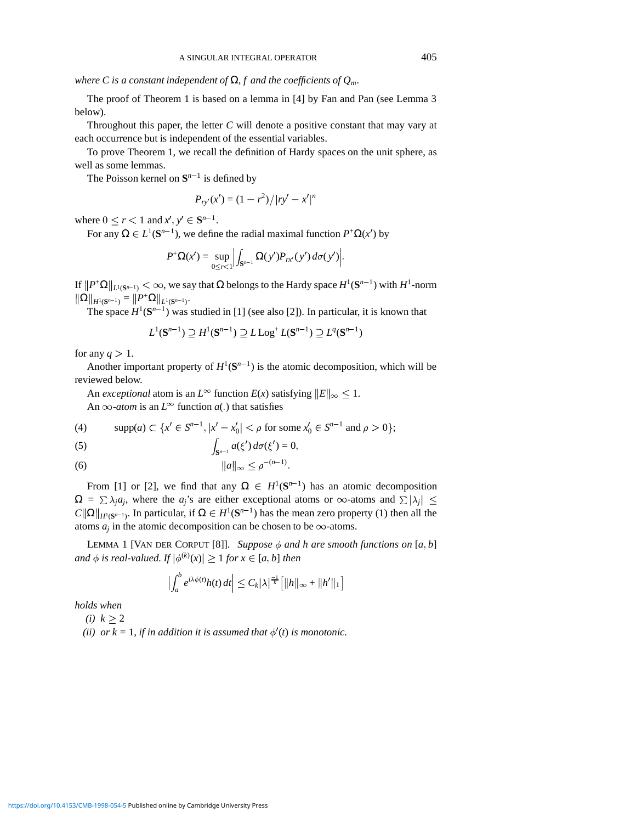*where C is a constant independent of*  $\Omega$ *, f and the coefficients of*  $Q_m$ *.* 

The proof of Theorem 1 is based on a lemma in [4] by Fan and Pan (see Lemma 3 below).

Throughout this paper, the letter *C* will denote a positive constant that may vary at each occurrence but is independent of the essential variables.

To prove Theorem 1, we recall the definition of Hardy spaces on the unit sphere, as well as some lemmas.

The Poisson kernel on  $S^{n-1}$  is defined by

$$
P_{ry'}(x') = (1 - r^2) / |ry' - x'|^n
$$

where  $0 \le r < 1$  and  $x', y' \in S^{n-1}$ .

For any  $\Omega \in L^1(\mathbf{S}^{n-1})$ , we define the radial maximal function  $P^+\Omega(x')$  by

$$
P^+\Omega(x')=\sup_{0\leq r<1}\Big|\int_{\mathbf{S}^{n-1}}\Omega(y')P_{rx'}(y')\,d\sigma(y')\Big|.
$$

If  $||P^{\dagger} \Omega||_{L^1(\mathbf{S}^{n-1})} < \infty$ , we say that  $\Omega$  belongs to the Hardy space  $H^1(\mathbf{S}^{n-1})$  with  $H^1$ -norm  $\|\Omega\|_{H^1(S^{n-1})} = \|P^+\Omega\|_{L^1(S^{n-1})}.$ 

The space  $H^1(S^{n-1})$  was studied in [1] (see also [2]). In particular, it is known that

$$
L^1(\mathbf{S}^{n-1}) \supseteq H^1(\mathbf{S}^{n-1}) \supseteq L\operatorname{Log}^+ L(\mathbf{S}^{n-1}) \supseteq L^q(\mathbf{S}^{n-1})
$$

for any  $q > 1$ .

Another important property of  $H^1(S^{n-1})$  is the atomic decomposition, which will be reviewed below.

An *exceptional* atom is an  $L^{\infty}$  function  $E(x)$  satisfying  $||E||_{\infty} \leq 1$ .

An  $\infty$ -*atom* is an  $L^{\infty}$  function *a*(.) that satisfies

(4) 
$$
\text{supp}(a) \subset \{x' \in S^{n-1}, |x'-x'_0| < \rho \text{ for some } x'_0 \in S^{n-1} \text{ and } \rho > 0\};
$$

(5) 
$$
\int_{\mathbf{S}^{n-1}} a(\xi') d\sigma(\xi') = 0,
$$

(6) 
$$
\|a\|_{\infty} \leq \rho^{-(n-1)}.
$$

From [1] or [2], we find that any  $\Omega \in H^1(\mathbf{S}^{n-1})$  has an atomic decomposition  $\Omega = \sum \lambda_i a_i$ , where the *a<sub>i</sub>*'s are either exceptional atoms or  $\infty$ -atoms and  $\sum |\lambda_i| \leq$  $C\|\Omega\|_{H^1(S^{n-1})}$ . In particular, if  $\Omega \in H^1(S^{n-1})$  has the mean zero property (1) then all the atoms  $a_j$  in the atomic decomposition can be chosen to be  $\infty$ -atoms.

LEMMA 1 [VAN DER CORPUT [8]]. Suppose  $\phi$  and h are smooth functions on [a, b] and  $\phi$  is real-valued. If  $|\phi^{(k)}(x)| \ge 1$  for  $x \in [a, b]$  then

$$
\left|\int_a^b e^{i\lambda\phi(t)}h(t)\,dt\right|\leq C_k|\lambda|^{\frac{-1}{k}}\big[\|h\|_{\infty}+\|h'\|_1\big]
$$

*holds when*

*(i)*  $k > 2$ 

(*ii*) or  $k = 1$ , *if in addition it is assumed that*  $\phi'(t)$  *is monotonic.*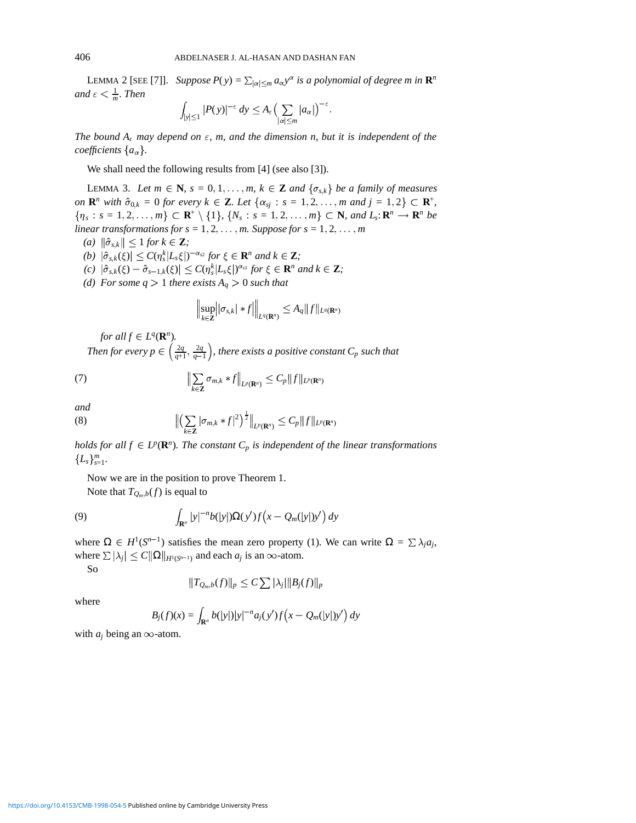LEMMA 2 [SEE [7]]. *Suppose*  $P(y) = \sum_{|\alpha| \le m} a_{\alpha} y^{\alpha}$  *is a polynomial of degree m in*  $\mathbb{R}^n$ and  $\varepsilon < \frac{1}{m}$ *. Then* 

$$
\int_{|y|\leq 1} |P(y)|^{-\varepsilon} dy \leq A_{\varepsilon} \Bigl(\sum_{|\alpha|\leq m} |a_{\alpha}|\Bigr)^{-\varepsilon}.
$$

*The bound*  $A_{\epsilon}$  *may depend on*  $\epsilon$ *, m, and the dimension n, but it is independent of the coefficients*  $\{a_{\alpha}\}.$ 

We shall need the following results from [4] (see also [3]).

LEMMA 3. Let  $m \in \mathbb{N}$ ,  $s = 0, 1, ..., m$ ,  $k \in \mathbb{Z}$  and  $\{\sigma_{s,k}\}\$  be a family of measures *on*  $\mathbb{R}^n$  *with*  $\hat{\sigma}_{0,k} = 0$  *for every*  $k \in \mathbb{Z}$ *. Let*  $\{\alpha_{sj} : s = 1, 2, ..., m \text{ and } j = 1, 2\} \subset \mathbb{R}^+,$  $\{ \eta_s : s = 1, 2, \ldots, m \} \subset \mathbf{R}^+ \setminus \{1\}, \{N_s : s = 1, 2, \ldots, m \} \subset \mathbf{N}, \text{ and } L_s : \mathbf{R}^n \to \mathbf{R}^n \text{ be }$ *linear transformations for s* = 1, 2,  $\dots$ , *m. Suppose for s* = 1, 2,  $\dots$ , *m* 

- $(a)$   $\|\hat{\sigma}_{s,k}\| \leq 1$  *for*  $k \in \mathbf{Z}$ *;*
- $|f(b)| \left| \hat{\sigma}_{s,k}(\xi) \right| \leq C(\eta_s^k | L_s \xi|)^{-\alpha_{s2}}$  for  $\xi \in \mathbf{R}^n$  and  $k \in \mathbf{Z}$ ;
- $f(c)$   $|\hat{\sigma}_{s,k}(\xi) \hat{\sigma}_{s-1,k}(\xi)| \leq C(\eta_s^k |L_s \xi|)^{\alpha_{s1}}$  for  $\xi \in \mathbb{R}^n$  and  $k \in \mathbb{Z}$ ;
- *(d)* For some  $q > 1$  there exists  $A_q > 0$  such that

$$
\left\|\sup_{k\in\mathbf{Z}}\left||\sigma_{s,k}|*f\right|\right\|_{L^q(\mathbf{R}^n)}\leq A_q\|f\|_{L^q(\mathbf{R}^n)}
$$

*for all*  $f \in L^q(\mathbf{R}^n)$ *.* 

Then for every  $p \in \left(\frac{2q}{q+1}, \frac{2q}{q-1}\right)$ , there exists a positive constant  $C_p$  such that

(7) 
$$
\left\| \sum_{k \in \mathbf{Z}} \sigma_{m,k} * f \right\|_{L^p(\mathbf{R}^n)} \leq C_p \|f\|_{L^p(\mathbf{R}^n)}
$$

*and*

(8) 
$$
\left\| \left( \sum_{k \in \mathbf{Z}} |\sigma_{m,k} * f|^2 \right)^{\frac{1}{2}} \right\|_{L^p(\mathbf{R}^n)} \leq C_p \|f\|_{L^p(\mathbf{R}^n)}
$$

*holds for all*  $f \in L^p(\mathbf{R}^n)$ *. The constant*  $C_p$  *is independent of the linear transformations*  ${L_s}_{s=1}^m$ .

Now we are in the position to prove Theorem 1.

Note that  $T_{Q_m,b}(f)$  is equal to

(9) 
$$
\int_{\mathbf{R}^n} |y|^{-n} b(|y|) \Omega(y') f\big(x - Q_m(|y|)y'\big) dy
$$

where  $\Omega \in H^1(S^{n-1})$  satisfies the mean zero property (1). We can write  $\Omega = \sum \lambda_j a_j$ , where  $\sum |\lambda_i| \leq C ||\Omega||_{H^1(S^{n-1})}$  and each  $a_j$  is an  $\infty$ -atom.

So

$$
||T_{Q_m,b}(f)||_p \leq C \sum |\lambda_j| ||B_j(f)||_p
$$

where

$$
B_j(f)(x) = \int_{\mathbf{R}^n} b(|y|) |y|^{-n} a_j(y') f(x - Q_m(|y|) y') dy
$$

with  $a_j$  being an  $\infty$ -atom.

<https://doi.org/10.4153/CMB-1998-054-5>Published online by Cambridge University Press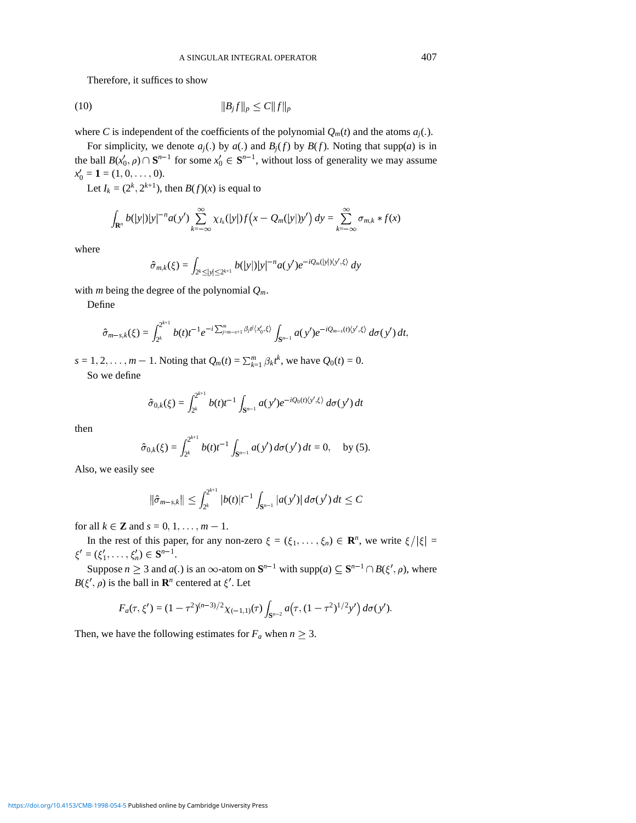Therefore, it suffices to show

$$
(10) \t\t\t ||B_j f||_p \le C ||f||_p
$$

where *C* is independent of the coefficients of the polynomial  $Q_m(t)$  and the atoms  $a_j(.)$ .

For simplicity, we denote  $a_j(.)$  by  $a(.)$  and  $B_j(f)$  by  $B(f)$ . Noting that supp(*a*) is in the ball  $B(x'_0, \rho) \cap \mathbf{S}^{n-1}$  for some  $x'_0 \in \mathbf{S}^{n-1}$ , without loss of generality we may assume  $x'_0 = 1 = (1, 0, \ldots, 0).$ 

Let  $I_k = (2^k, 2^{k+1})$ , then  $B(f)(x)$  is equal to

$$
\int_{\mathbf{R}^n} b(|y|) |y|^{-n} a(y') \sum_{k=-\infty}^{\infty} \chi_{I_k}(|y|) f(x - Q_m(|y|)y') dy = \sum_{k=-\infty}^{\infty} \sigma_{m,k} * f(x)
$$

where

$$
\hat{\sigma}_{m,k}(\xi) = \int_{2^k \le |y| \le 2^{k+1}} b(|y|) |y|^{-n} a(y') e^{-i Q_m(|y|) \langle y', \xi \rangle} dy
$$

with *m* being the degree of the polynomial *Qm*.

Define

$$
\hat{\sigma}_{m-s,k}(\xi) = \int_{2^k}^{2^{k+1}} b(t) t^{-1} e^{-i \sum_{j=m-s+1}^m \beta_j t^j \langle x'_0, \xi \rangle} \int_{\mathbf{S}^{n-1}} a(y') e^{-i Q_{m-s}(t) \langle y', \xi \rangle} d\sigma(y') dt,
$$

*s* = 1, 2, . . . , *m* - 1. Noting that  $Q_m(t) = \sum_{k=1}^m \beta_k t^k$ , we have  $Q_0(t) = 0$ .

So we define

$$
\hat{\sigma}_{0,k}(\xi) = \int_{2^k}^{2^{k+1}} b(t) t^{-1} \int_{\mathbf{S}^{n-1}} a(y') e^{-i Q_0(t) \langle y', \xi \rangle} d\sigma(y') dt
$$

then

$$
\hat{\sigma}_{0,k}(\xi) = \int_{2^k}^{2^{k+1}} b(t) t^{-1} \int_{\mathbf{S}^{n-1}} a(y') d\sigma(y') dt = 0, \text{ by (5)}.
$$

Also, we easily see

$$
\|\hat{\sigma}_{m-s,k}\| \leq \int_{2^k}^{2^{k+1}} |b(t)| t^{-1} \int_{\mathbf{S}^{n-1}} |a(y')| d\sigma(y') dt \leq C
$$

for all  $k \in \mathbb{Z}$  and  $s = 0, 1, \ldots, m - 1$ .

In the rest of this paper, for any non-zero  $\xi = (\xi_1, \dots, \xi_n) \in \mathbb{R}^n$ , we write  $\xi/|\xi| =$  $\xi' = (\xi'_1, \ldots, \xi'_n) \in \mathbf{S}^{n-1}.$ 

Suppose  $n \ge 3$  and  $a(.)$  is an  $\infty$ -atom on  $\mathbf{S}^{n-1}$  with supp( $a) \subseteq \mathbf{S}^{n-1} \cap B(\xi', \rho)$ , where  $B(\xi', \rho)$  is the ball in **R**<sup>*n*</sup> centered at  $\xi'$ . Let

$$
F_a(\tau,\xi') = (1-\tau^2)^{(n-3)/2} \chi_{(-1,1)}(\tau) \int_{\mathbf{S}^{n-2}} a(\tau,(1-\tau^2)^{1/2}y') d\sigma(y').
$$

Then, we have the following estimates for  $F_a$  when  $n \geq 3$ .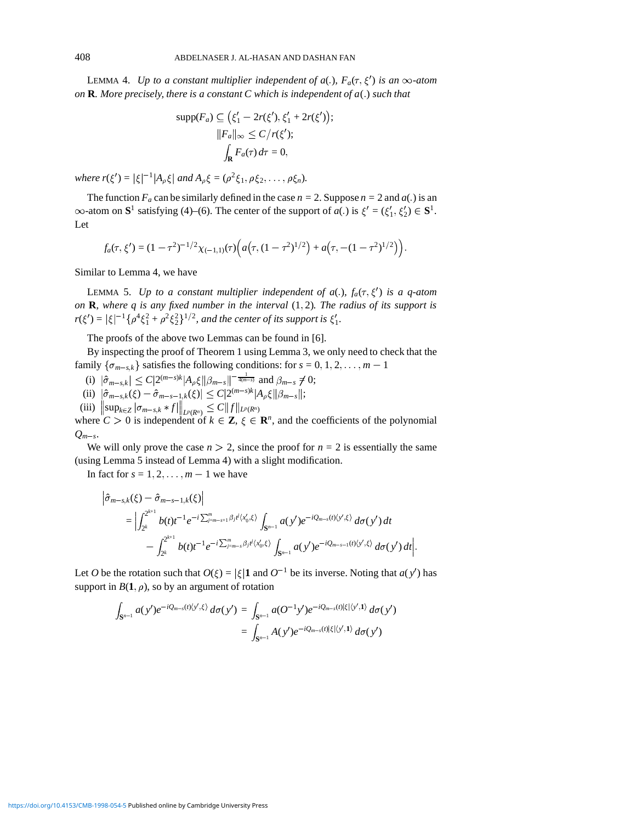LEMMA 4. *Up to a constant multiplier independent of a(.),*  $F_a(\tau, \xi')$  *is an*  $\infty$ -atom *on* **R***. More precisely, there is a constant C which is independent of*  $a(.)$  *such that* 

$$
\text{supp}(F_a) \subseteq \left(\xi'_1 - 2r(\xi'), \xi'_1 + 2r(\xi')\right);
$$

$$
||F_a||_{\infty} \le C/r(\xi');
$$

$$
\int_{\mathbf{R}} F_a(\tau) d\tau = 0,
$$

*where r*( $\xi'$ ) =  $|\xi|^{-1}|A_{\rho}\xi|$  *and*  $A_{\rho}\xi = (\rho^2 \xi_1, \rho \xi_2, \dots, \rho \xi_n)$ *.* 

The function  $F_a$  can be similarly defined in the case  $n = 2$ . Suppose  $n = 2$  and  $a(.)$  is an  $\infty$ -atom on **S**<sup>1</sup> satisfying (4)–(6). The center of the support of *a*(*c*) is  $\xi' = (\xi'_1, \xi'_2) \in \mathbf{S}^1$ . Let

$$
f_a(\tau,\xi') = (1-\tau^2)^{-1/2}\chi_{(-1,1)}(\tau)\Big(a(\tau,(1-\tau^2)^{1/2}) + a(\tau,-(1-\tau^2)^{1/2})\Big).
$$

Similar to Lemma 4, we have

LEMMA 5. Up to a constant multiplier independent of  $a(.)$ ,  $f_a(\tau, \xi')$  is a q-atom *on* **R***, where q is any fixed number in the interval*  $(1, 2)$ *<i>. The radius of its support is*  $r(\xi') = |\xi|^{-1} \{ \rho^4 \xi_1^2 + \rho^2 \xi_2^2 \}^{1/2}$ , and the center of its support is  $\xi'_1$ .

The proofs of the above two Lemmas can be found in [6].

By inspecting the proof of Theorem 1 using Lemma 3, we only need to check that the family  $\{\sigma_{m-s,k}\}\$  satisfies the following conditions: for  $s = 0, 1, 2, \ldots, m-1$ 

- (i)  $|\hat{\sigma}_{m-s,k}| \leq C|2^{(m-s)k}|A_{\rho}\xi||\beta_{m-s}||^{-\frac{1}{4(m-s)}}$  and  $\beta_{m-s}\neq 0;$
- $|\hat{\sigma}_{m-s,k}(\xi) \hat{\sigma}_{m-s-1,k}(\xi)| \leq C|2^{(m-s)k}|A_{\rho}\xi||\beta_{m-s}||;$

(iii) 
$$
\|\sup_{k \in \mathbb{Z}} |\sigma_{m-s,k} * f\|_{L^p(R^n)} \leq C \|f\|_{L^p(R^n)}
$$
  
where  $C > 0$  is independent of  $k \in \mathbb{Z}$ ,  $\epsilon \in \mathbb{R}$ 

where  $C > 0$  is independent of  $k \in \mathbb{Z}$ ,  $\xi \in \mathbb{R}^n$ , and the coefficients of the polynomial  $Q_{m-s}$ .

We will only prove the case  $n > 2$ , since the proof for  $n = 2$  is essentially the same (using Lemma 5 instead of Lemma 4) with a slight modification.

In fact for  $s = 1, 2, \ldots, m - 1$  we have

$$
\begin{split} \left| \hat{\sigma}_{m-s,k}(\xi) - \hat{\sigma}_{m-s-1,k}(\xi) \right| \\ &= \left| \int_{2^k}^{2^{k+1}} b(t) t^{-1} e^{-i \sum_{j=m-s+1}^m \beta_j t^j \langle x'_0, \xi \rangle} \int_{S^{n-1}} a(y') e^{-i Q_{m-s}(t) \langle y', \xi \rangle} d\sigma(y') dt \right| \\ &- \int_{2^k}^{2^{k+1}} b(t) t^{-1} e^{-i \sum_{j=m-s}^m \beta_j t^j \langle x'_0, \xi \rangle} \int_{S^{n-1}} a(y') e^{-i Q_{m-s-1}(t) \langle y', \xi \rangle} d\sigma(y') dt \right|. \end{split}
$$

Let *O* be the rotation such that  $O(\xi) = |\xi| \mathbf{1}$  and  $O^{-1}$  be its inverse. Noting that  $a(y')$  has support in  $B(1, \rho)$ , so by an argument of rotation

$$
\int_{\mathbf{S}^{n-1}} a(y') e^{-i Q_{m-s}(t) \langle y', \xi \rangle} d\sigma(y') = \int_{\mathbf{S}^{n-1}} a(O^{-1}y') e^{-i Q_{m-s}(t) |\xi| \langle y', 1 \rangle} d\sigma(y')
$$
  
= 
$$
\int_{\mathbf{S}^{n-1}} A(y') e^{-i Q_{m-s}(t) |\xi| \langle y', 1 \rangle} d\sigma(y')
$$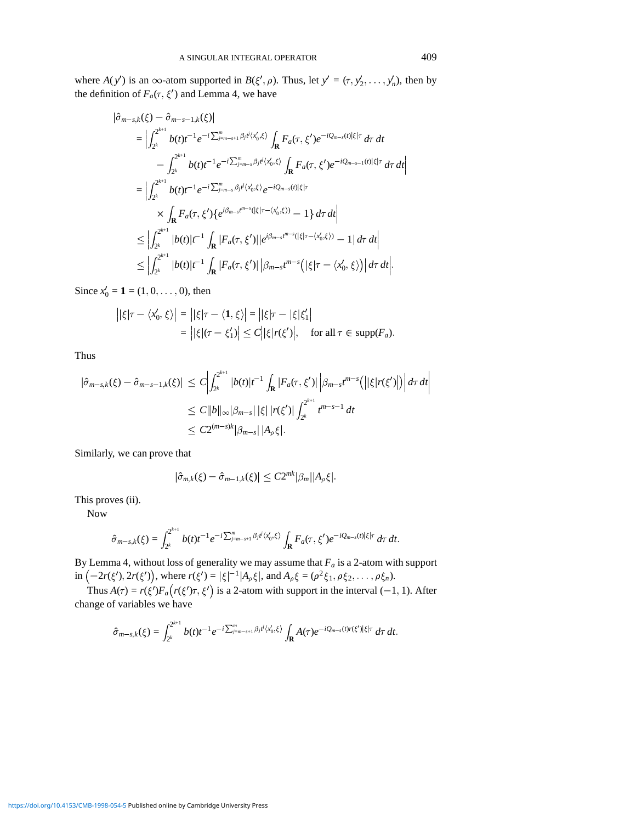where  $A(y')$  is an  $\infty$ -atom supported in  $B(\xi', \rho)$ . Thus, let  $y' = (\tau, y'_2, \dots, y'_n)$ , then by the definition of  $F_a(\tau, \xi')$  and Lemma 4, we have

$$
\begin{split}\n\left|\hat{\sigma}_{m-s,k}(\xi) - \hat{\sigma}_{m-s-1,k}(\xi)\right| \\
&= \left|\int_{2^{k}}^{2^{k+1}} b(t)t^{-1}e^{-i\sum_{j=m-s+1}^{m}\beta_{j}t^{j}\langle x'_{0},\xi\rangle}\int_{\mathbf{R}} F_{a}(\tau,\xi')e^{-iQ_{m-s}(t)|\xi|\tau}d\tau dt - \int_{2^{k}}^{2^{k+1}} b(t)t^{-1}e^{-i\sum_{j=m-s}^{m}\beta_{j}t^{j}\langle x'_{0},\xi\rangle}\int_{\mathbf{R}} F_{a}(\tau,\xi')e^{-iQ_{m-s-1}(t)|\xi|\tau}d\tau dt\right| \\
&= \left|\int_{2^{k}}^{2^{k+1}} b(t)t^{-1}e^{-i\sum_{j=m-s}^{m}\beta_{j}t^{j}\langle x'_{0},\xi\rangle}e^{-iQ_{m-s}(t)|\xi|\tau} \\
&\times \int_{\mathbf{R}} F_{a}(\tau,\xi')\{e^{i\beta_{m-s}t^{m-s}(\left|\xi\right|\tau-\langle x'_{0},\xi\rangle)}-1\}d\tau dt\right| \\
&\leq \left|\int_{2^{k}}^{2^{k+1}} |b(t)|t^{-1} \int_{\mathbf{R}} |F_{a}(\tau,\xi')||e^{i\beta_{m-s}t^{m-s}(\left|\xi\right|\tau-\langle x'_{0},\xi\rangle)}-1|d\tau dt\right| \\
&\leq \left|\int_{2^{k}}^{2^{k+1}} |b(t)|t^{-1} \int_{\mathbf{R}} |F_{a}(\tau,\xi')||\beta_{m-s}t^{m-s}(\left|\xi\right|\tau-\langle x'_{0},\xi\rangle)\right|d\tau dt\right|.\n\end{split}
$$

Since  $x'_0 = 1 = (1, 0, \dots, 0)$ , then

$$
\begin{aligned} \left| |\xi|\tau - \langle x'_0, \xi \rangle \right| &= \left| |\xi|\tau - \langle \mathbf{1}, \xi \rangle \right| = \left| |\xi|\tau - |\xi|\xi'_1 \right| \\ &= \left| |\xi|(\tau - \xi'_1) \right| \le C \left| |\xi|\mathbf{r}(\xi') \right|, \quad \text{for all } \tau \in \text{supp}(F_a). \end{aligned}
$$

Thus

$$
\begin{split} |\hat{\sigma}_{m-s,k}(\xi) - \hat{\sigma}_{m-s-1,k}(\xi)| &\leq C \left| \int_{2^k}^{2^{k+1}} |b(t)| t^{-1} \int_{\mathbf{R}} |F_a(\tau, \xi')| \left| \beta_{m-s} t^{m-s} \right| \left( |\xi| r(\xi')| \right) \right| d\tau dt \\ &\leq C \|b\|_{\infty} |\beta_{m-s}| \, |\xi| \, |r(\xi')| \int_{2^k}^{2^{k+1}} t^{m-s-1} \, dt \\ &\leq C 2^{(m-s)k} |\beta_{m-s}| \, |A_{\rho} \xi|. \end{split}
$$

Similarly, we can prove that

$$
|\hat{\sigma}_{m,k}(\xi)-\hat{\sigma}_{m-1,k}(\xi)|\leq C2^{mk}|\beta_m||A_{\rho}\xi|.
$$

This proves (ii).

Now

$$
\hat{\sigma}_{m-s,k}(\xi)=\int_{2^k}^{2^{k+1}}b(t)t^{-1}e^{-i\sum_{j=m-s+1}^m\beta_jt^j\langle x'_0,\xi\rangle}\int_{\mathbf{R}}F_a(\tau,\xi')e^{-iQ_{m-s}(t)|\xi|\tau}\,d\tau\,dt.
$$

By Lemma 4, without loss of generality we may assume that *Fa* is a 2-atom with support in  $(-2r(\xi'), 2r(\xi'))$ , where  $r(\xi') = |\xi|^{-1} |A_{\rho}\xi|$ , and  $A_{\rho}\xi = (\rho^2 \xi_1, \rho \xi_2, \dots, \rho \xi_n)$ .

Thus  $A(\tau) = r(\xi')F_a(r(\xi')\tau, \xi')$  is a 2-atom with support in the interval (-1, 1). After change of variables we have

$$
\hat{\sigma}_{m-s,k}(\xi)=\int_{2^k}^{2^{k+1}}b(t)t^{-1}e^{-i\sum_{j=m-s+1}^m\beta_jt^j\langle x'_0,\xi\rangle}\int_{\mathbf{R}}A(\tau)e^{-iQ_{m-s}(t)r(\xi')|\xi|\tau}\,d\tau\,dt.
$$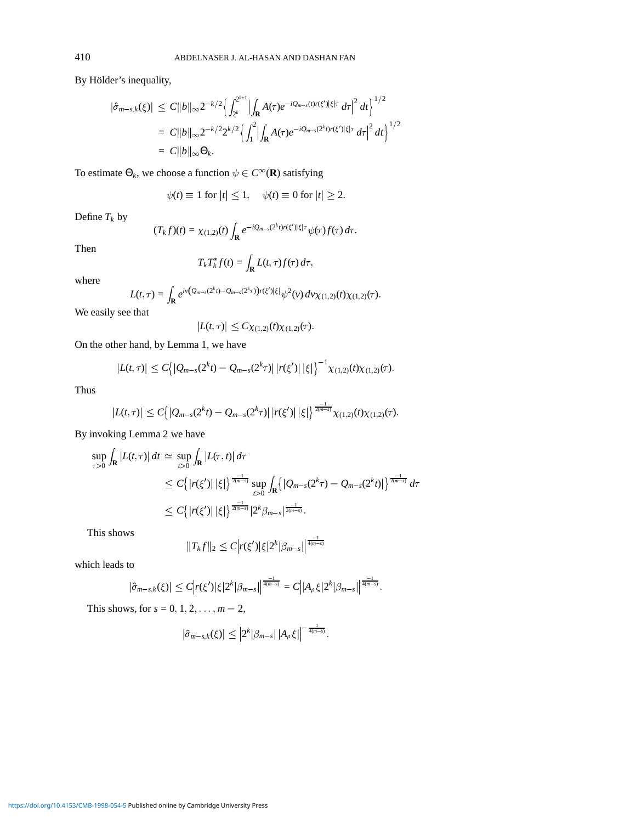By Hölder's inequality,

$$
\begin{aligned} |\hat{\sigma}_{m-s,k}(\xi)| &\leq C \|b\|_{\infty} 2^{-k/2} \Big\{ \int_{2^k}^{2^{k+1}} \Big| \int_{\mathbf{R}} A(\tau) e^{-iQ_{m-s}(t)r(\xi')|\xi|\tau} d\tau \Big|^2 dt \Big\}^{1/2} \\ &= C \|b\|_{\infty} 2^{-k/2} 2^{k/2} \Big\{ \int_1^2 \Big| \int_{\mathbf{R}} A(\tau) e^{-iQ_{m-s}(2^k t)r(\xi')|\xi|\tau} d\tau \Big|^2 dt \Big\}^{1/2} \\ &= C \|b\|_{\infty} \Theta_k. \end{aligned}
$$

To estimate  $\Theta_k$ , we choose a function  $\psi \in C^\infty(\mathbf{R})$  satisfying

$$
\psi(t) \equiv 1 \text{ for } |t| \le 1, \quad \psi(t) \equiv 0 \text{ for } |t| \ge 2.
$$

Define  $T_k$  by

$$
(T_k f)(t) = \chi_{(1,2)}(t) \int_{\mathbf{R}} e^{-iQ_{m-s}(2^k t)r(\xi')|\xi|\tau} \psi(\tau) f(\tau) d\tau.
$$

Then

$$
T_k T_k^* f(t) = \int_{\mathbf{R}} L(t, \tau) f(\tau) d\tau,
$$

where

$$
L(t,\tau)=\int_{\mathbf{R}}e^{iv(\mathcal{Q}_{m-s}(2^k t)-\mathcal{Q}_{m-s}(2^k \tau))r(\xi')|\xi|}\psi^2(v)\,dv\chi_{(1,2)}(t)\chi_{(1,2)}(\tau).
$$

We easily see that

$$
|L(t,\tau)| \leq C \chi_{(1,2)}(t) \chi_{(1,2)}(\tau).
$$

On the other hand, by Lemma 1, we have

$$
|L(t,\tau)| \leq C \big\{ |Q_{m-s}(2^k t) - Q_{m-s}(2^k \tau)| \, |r(\xi')| \, |\xi| \big\}^{-1} \chi_{(1,2)}(t) \chi_{(1,2)}(\tau).
$$

Thus

$$
|L(t,\tau)| \leq C \big\{ |Q_{m-s}(2^k t) - Q_{m-s}(2^k \tau)| \, |r(\xi')| \, |\xi| \big\}^{\frac{-1}{2(m-s)}} \chi_{(1,2)}(t) \chi_{(1,2)}(\tau).
$$

By invoking Lemma 2 we have

$$
\sup_{\tau>0} \int_{\mathbf{R}} |L(t,\tau)| dt \simeq \sup_{t>0} \int_{\mathbf{R}} |L(\tau,t)| d\tau \leq C \Big\{ |r(\xi')| |\xi| \Big\}^{\frac{-1}{2(m-s)}} \sup_{t>0} \int_{\mathbf{R}} \Big\{ |Q_{m-s}(2^k \tau) - Q_{m-s}(2^k t)| \Big\}^{\frac{-1}{2(m-s)}} d\tau \leq C \Big\{ |r(\xi')| |\xi| \Big\}^{\frac{-1}{2(m-s)}} |2^k \beta_{m-s}|^{\frac{-1}{2(m-s)}}.
$$

This shows

$$
||T_{k}f||_{2} \leq C |r(\xi')|\xi|2^{k}|\beta_{m-s}|^{\frac{-1}{4(m-s)}}
$$

which leads to

$$
|\hat{\sigma}_{m-s,k}(\xi)| \leq C \Big| r(\xi') |\xi| 2^k |\beta_{m-s}| \Big|^{\frac{-1}{4(m-s)}} = C \Big| |A_{\rho} \xi| 2^k |\beta_{m-s}| \Big|^{\frac{-1}{4(m-s)}}.
$$

This shows, for  $s = 0, 1, 2, ..., m - 2$ ,

$$
\left|\hat{\sigma}_{m-s,k}(\xi)\right| \leq \left|2^k|\beta_{m-s}\right| \left|A_{\rho}\xi\right|^{-\frac{1}{4(m-s)}}.
$$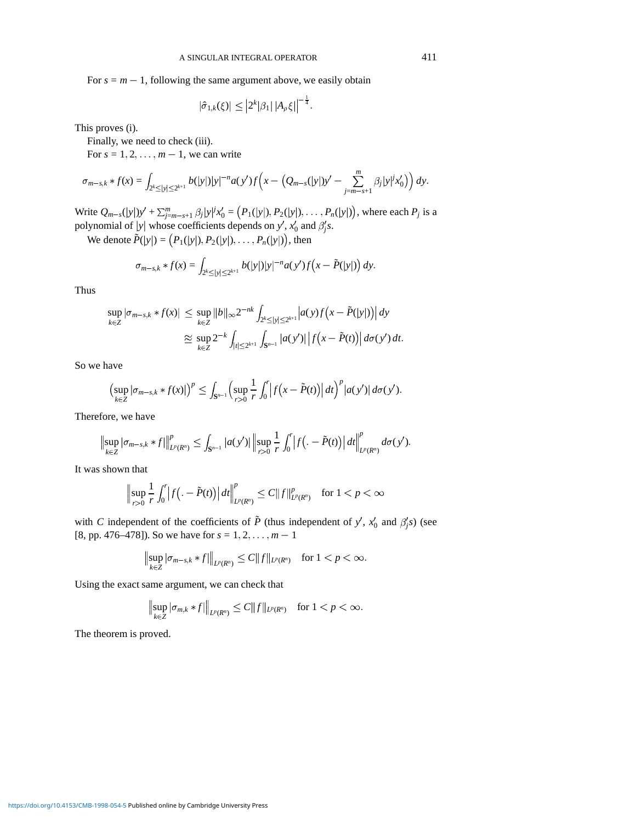For  $s = m - 1$ , following the same argument above, we easily obtain

$$
|\hat{\sigma}_{1,k}(\xi)| \leq |2^k |\beta_1| |A_{\rho} \xi|^{-\frac{1}{4}}.
$$

This proves (i).

Finally, we need to check (iii).

For  $s = 1, 2, \ldots, m - 1$ , we can write

$$
\sigma_{m-s,k} * f(x) = \int_{2^k \le |y| \le 2^{k+1}} b(|y|) |y|^{-n} a(y') f\left(x - \left(Q_{m-s}(|y|)y' - \sum_{j=m-s+1}^m \beta_j |y|^j x_0'\right)\right) dy.
$$

Write  $Q_{m-s}(|y|)y' + \sum_{j=m-s+1}^{m} \beta_j |y|^{j} x_0' = (P_1(|y|), P_2(|y|), \dots, P_n(|y|)),$  where each  $P_j$  is a polynomial of  $|y|$  whose coefficients depends on *y'*,  $x'_0$  and  $\beta'_j s$ .

We denote  $\tilde{P}(|y|) = (P_1(|y|), P_2(|y|), \ldots, P_n(|y|)),$  then

$$
\sigma_{m-s,k} * f(x) = \int_{2^k \le |y| \le 2^{k+1}} b(|y|) |y|^{-n} a(y') f(x - \tilde{P}(|y|)) dy.
$$

Thus

$$
\sup_{k \in \mathbb{Z}} |\sigma_{m-s,k} * f(x)| \leq \sup_{k \in \mathbb{Z}} \|b\|_{\infty} 2^{-nk} \int_{2^k \leq |y| \leq 2^{k+1}} |a(y)f(x - \tilde{P}(|y|))| dy
$$
  

$$
\approx \sup_{k \in \mathbb{Z}} 2^{-k} \int_{|t| \leq 2^{k+1}} \int_{S^{n-1}} |a(y')| |f(x - \tilde{P}(t))| d\sigma(y') dt.
$$

So we have

$$
\left(\sup_{k\in\mathbb{Z}}|\sigma_{m-s,k}*f(x)|\right)^p\leq \int_{\mathbf{S}^{n-1}}\left(\sup_{r>0}\frac{1}{r}\int_0^r\left|f(x-\tilde{P}(t))\right|dt\right)^p|a(y')|\,d\sigma(y').
$$

Therefore, we have

$$
\left\|\sup_{k\in\mathbb{Z}}|\sigma_{m-s,k}\ast f|\right\|_{L^{p}(R^{n})}^{p}\leq \int_{\mathbf{S}^{n-1}}|a(y')|\left\|\sup_{r>0}\frac{1}{r}\int_{0}^{r}\left|f\left(.\,-\tilde{P}(t)\right)\right|dt\right\|_{L^{p}(R^{n})}^{p}d\sigma(y').
$$

It was shown that

$$
\Big\|\sup_{r>0}\frac{1}{r}\int_0^r\big|f\big|.-\tilde{P}(t)\big|\big|dt\big|\big|_{L^p(R^n)}^p\leq C\|f\|_{L^p(R^n)}^p\quad\text{for }1
$$

with *C* independent of the coefficients of  $\tilde{P}$  (thus independent of *y'*,  $x'_0$  and  $\beta'_j$ <sup>s</sup>) (see [8, pp. 476–478]). So we have for  $s = 1, 2, ..., m - 1$ 

$$
\|\sup_{k\in\mathbb{Z}}|\sigma_{m-s,k}*f|\|_{L^p(R^n)}\leq C\|f\|_{L^p(R^n)}\quad\text{for }1
$$

Using the exact same argument, we can check that

$$
\|\sup_{k\in\mathbb{Z}}|\sigma_{m,k}*f|\|_{L^p(R^n)}\leq C\|f\|_{L^p(R^n)}\quad\text{for }1
$$

The theorem is proved.